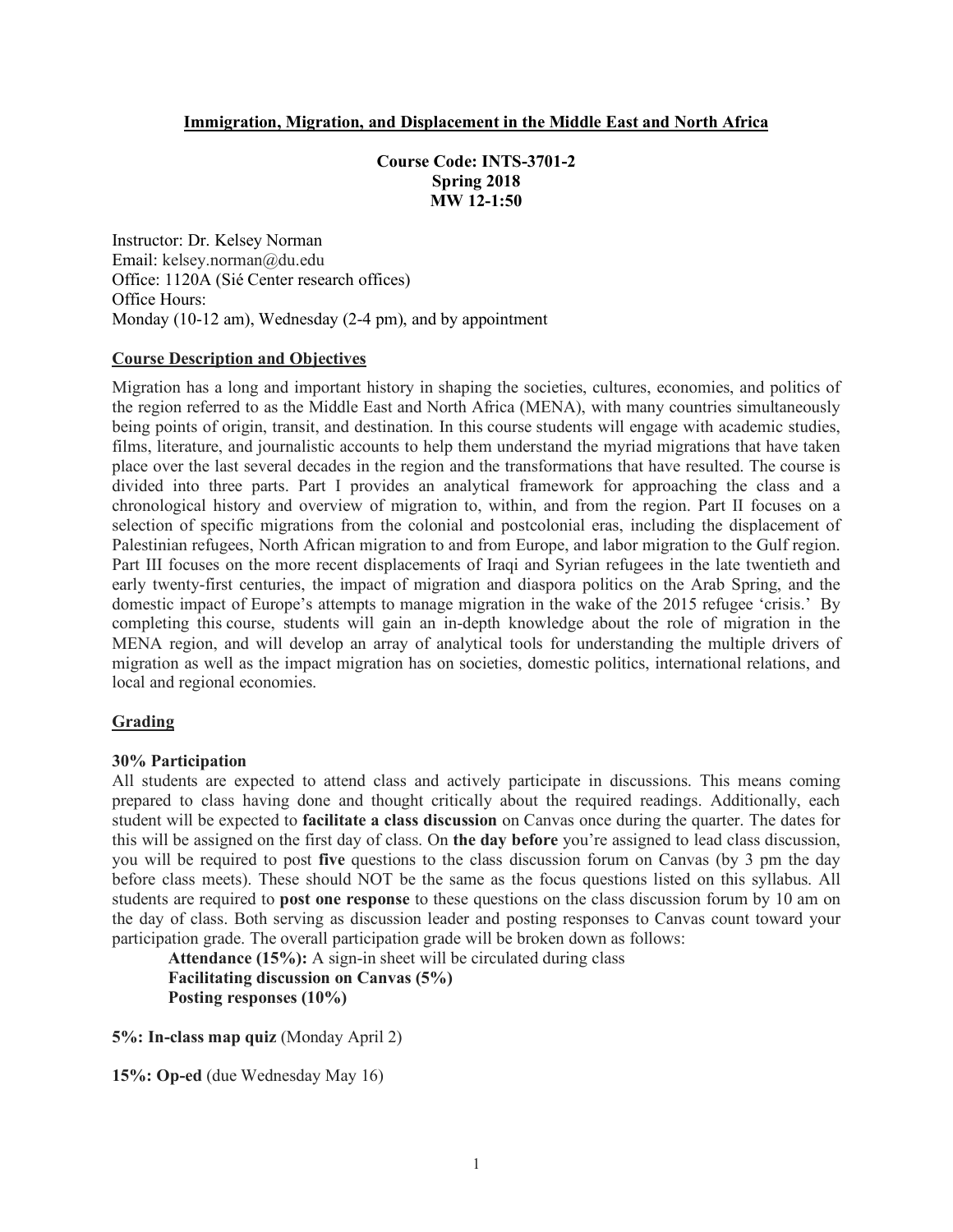#### **Immigration, Migration, and Displacement in the Middle East and North Africa**

**Course Code: INTS-3701-2 Spring 2018 MW 12-1:50**

Instructor: Dr. Kelsey Norman Email: kelsey.norman@du.edu Office: 1120A (Sié Center research offices) Office Hours: Monday (10-12 am), Wednesday (2-4 pm), and by appointment

#### **Course Description and Objectives**

Migration has a long and important history in shaping the societies, cultures, economies, and politics of the region referred to as the Middle East and North Africa (MENA), with many countries simultaneously being points of origin, transit, and destination. In this course students will engage with academic studies, films, literature, and journalistic accounts to help them understand the myriad migrations that have taken place over the last several decades in the region and the transformations that have resulted. The course is divided into three parts. Part I provides an analytical framework for approaching the class and a chronological history and overview of migration to, within, and from the region. Part II focuses on a selection of specific migrations from the colonial and postcolonial eras, including the displacement of Palestinian refugees, North African migration to and from Europe, and labor migration to the Gulf region. Part III focuses on the more recent displacements of Iraqi and Syrian refugees in the late twentieth and early twenty-first centuries, the impact of migration and diaspora politics on the Arab Spring, and the domestic impact of Europe's attempts to manage migration in the wake of the 2015 refugee 'crisis.' By completing this course, students will gain an in-depth knowledge about the role of migration in the MENA region, and will develop an array of analytical tools for understanding the multiple drivers of migration as well as the impact migration has on societies, domestic politics, international relations, and local and regional economies.

### **Grading**

### **30% Participation**

All students are expected to attend class and actively participate in discussions. This means coming prepared to class having done and thought critically about the required readings. Additionally, each student will be expected to **facilitate a class discussion** on Canvas once during the quarter. The dates for this will be assigned on the first day of class. On **the day before** you're assigned to lead class discussion, you will be required to post **five** questions to the class discussion forum on Canvas (by 3 pm the day before class meets). These should NOT be the same as the focus questions listed on this syllabus. All students are required to **post one response** to these questions on the class discussion forum by 10 am on the day of class. Both serving as discussion leader and posting responses to Canvas count toward your participation grade. The overall participation grade will be broken down as follows:

**Attendance (15%):** A sign-in sheet will be circulated during class **Facilitating discussion on Canvas (5%) Posting responses (10%)**

**5%: In-class map quiz** (Monday April 2)

**15%: Op-ed** (due Wednesday May 16)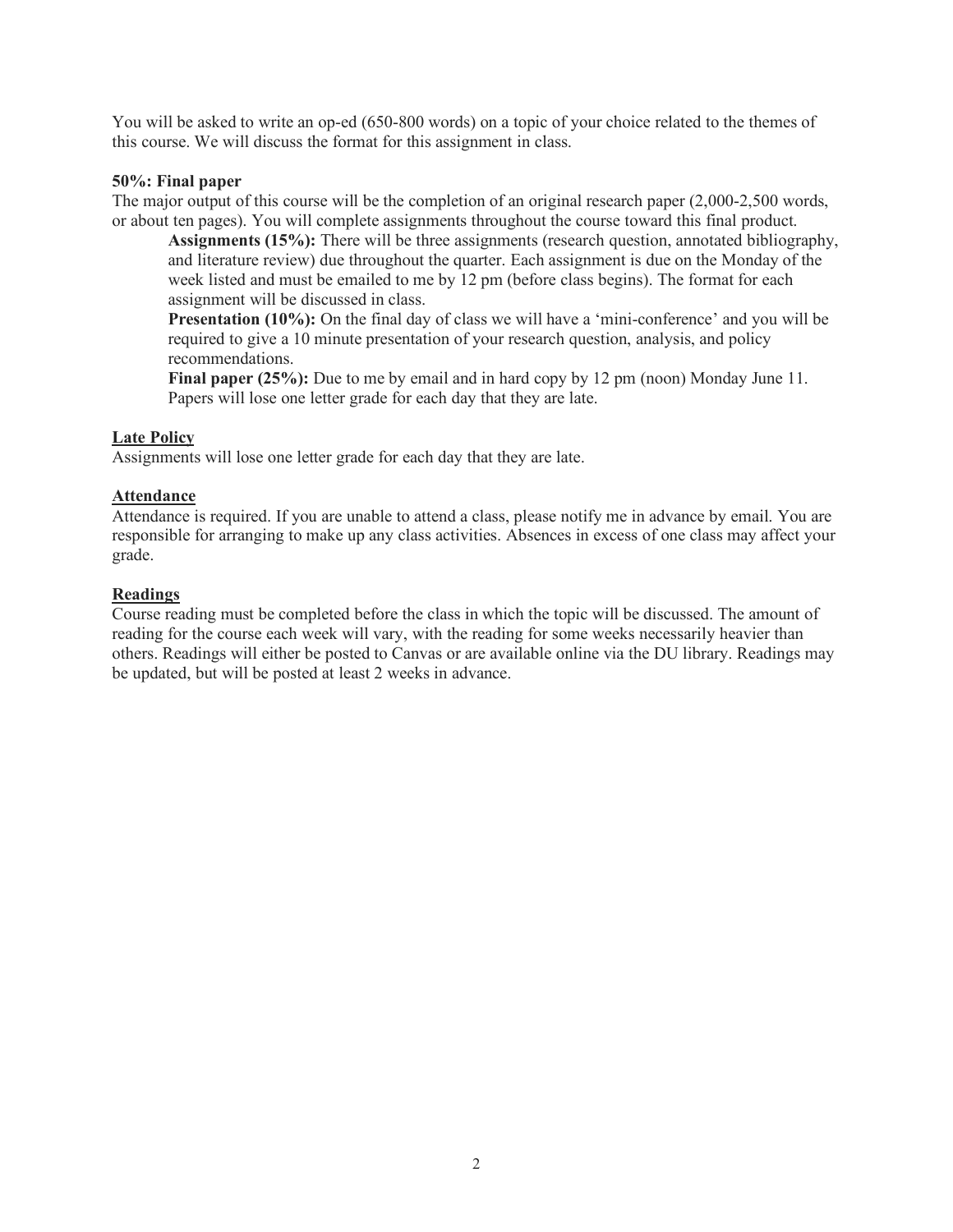You will be asked to write an op-ed (650-800 words) on a topic of your choice related to the themes of this course. We will discuss the format for this assignment in class.

### **50%: Final paper**

The major output of this course will be the completion of an original research paper (2,000-2,500 words, or about ten pages). You will complete assignments throughout the course toward this final product.

**Assignments (15%):** There will be three assignments (research question, annotated bibliography, and literature review) due throughout the quarter. Each assignment is due on the Monday of the week listed and must be emailed to me by 12 pm (before class begins). The format for each assignment will be discussed in class.

**Presentation (10%):** On the final day of class we will have a 'mini-conference' and you will be required to give a 10 minute presentation of your research question, analysis, and policy recommendations.

**Final paper (25%):** Due to me by email and in hard copy by 12 pm (noon) Monday June 11. Papers will lose one letter grade for each day that they are late.

# **Late Policy**

Assignments will lose one letter grade for each day that they are late.

#### **Attendance**

Attendance is required. If you are unable to attend a class, please notify me in advance by email. You are responsible for arranging to make up any class activities. Absences in excess of one class may affect your grade.

#### **Readings**

Course reading must be completed before the class in which the topic will be discussed. The amount of reading for the course each week will vary, with the reading for some weeks necessarily heavier than others. Readings will either be posted to Canvas or are available online via the DU library. Readings may be updated, but will be posted at least 2 weeks in advance.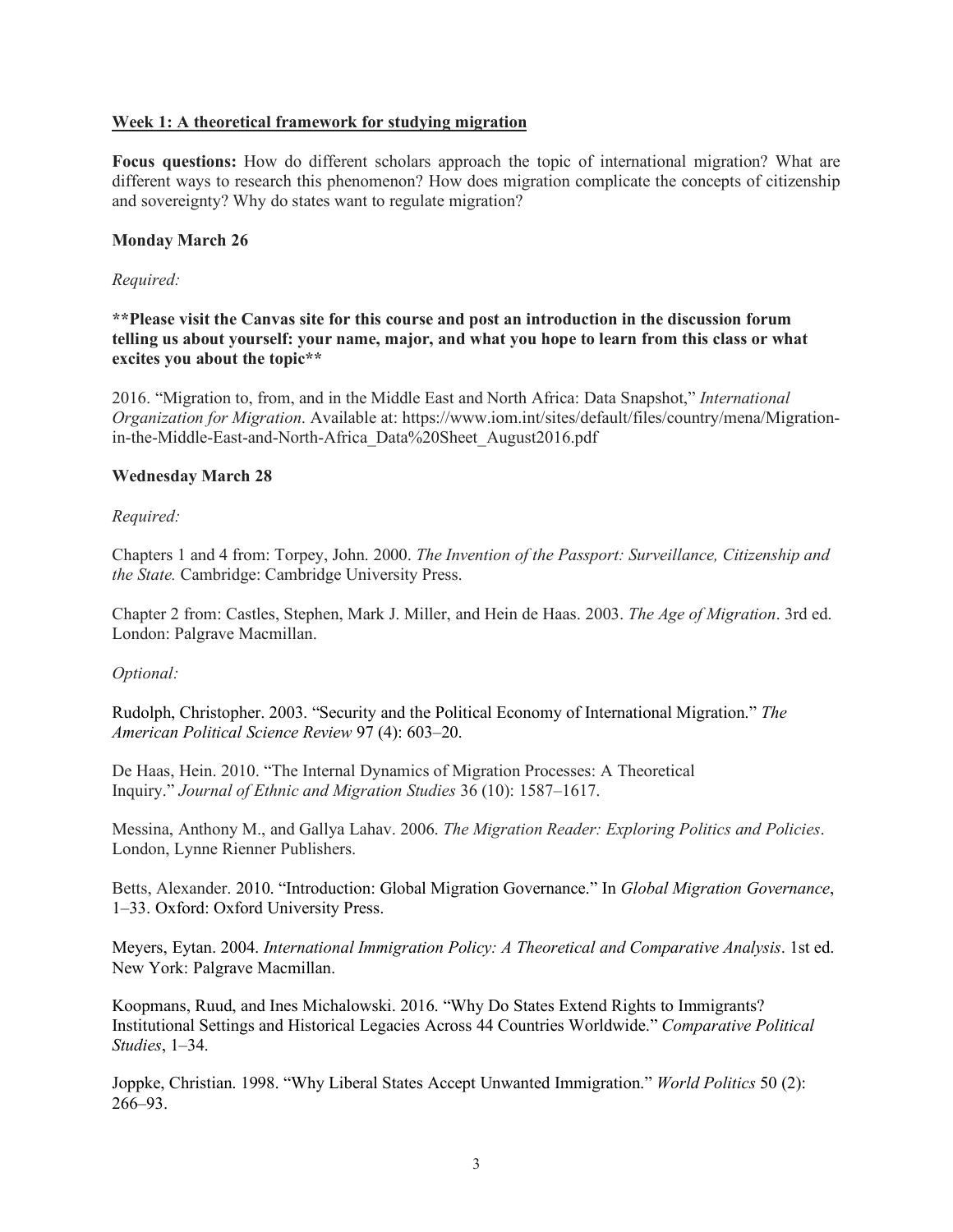### **Week 1: A theoretical framework for studying migration**

**Focus questions:** How do different scholars approach the topic of international migration? What are different ways to research this phenomenon? How does migration complicate the concepts of citizenship and sovereignty? Why do states want to regulate migration?

### **Monday March 26**

#### *Required:*

**\*\*Please visit the Canvas site for this course and post an introduction in the discussion forum telling us about yourself: your name, major, and what you hope to learn from this class or what excites you about the topic\*\***

2016. "Migration to, from, and in the Middle East and North Africa: Data Snapshot," *International Organization for Migration*. Available at: https://www.iom.int/sites/default/files/country/mena/Migrationin-the-Middle-East-and-North-Africa\_Data%20Sheet\_August2016.pdf

#### **Wednesday March 28**

*Required:*

Chapters 1 and 4 from: Torpey, John. 2000. *The Invention of the Passport: Surveillance, Citizenship and the State.* Cambridge: Cambridge University Press.

Chapter 2 from: Castles, Stephen, Mark J. Miller, and Hein de Haas. 2003. *The Age of Migration*. 3rd ed. London: Palgrave Macmillan.

### *Optional:*

Rudolph, Christopher. 2003. "Security and the Political Economy of International Migration." *The American Political Science Review* 97 (4): 603–20.

De Haas, Hein. 2010. "The Internal Dynamics of Migration Processes: A Theoretical Inquiry." *Journal of Ethnic and Migration Studies* 36 (10): 1587–1617.

Messina, Anthony M., and Gallya Lahav. 2006. *The Migration Reader: Exploring Politics and Policies*. London, Lynne Rienner Publishers.

Betts, Alexander. 2010. "Introduction: Global Migration Governance." In *Global Migration Governance*, 1–33. Oxford: Oxford University Press.

Meyers, Eytan. 2004. *International Immigration Policy: A Theoretical and Comparative Analysis*. 1st ed. New York: Palgrave Macmillan.

Koopmans, Ruud, and Ines Michalowski. 2016. "Why Do States Extend Rights to Immigrants? Institutional Settings and Historical Legacies Across 44 Countries Worldwide." *Comparative Political Studies*, 1–34.

Joppke, Christian. 1998. "Why Liberal States Accept Unwanted Immigration." *World Politics* 50 (2): 266–93.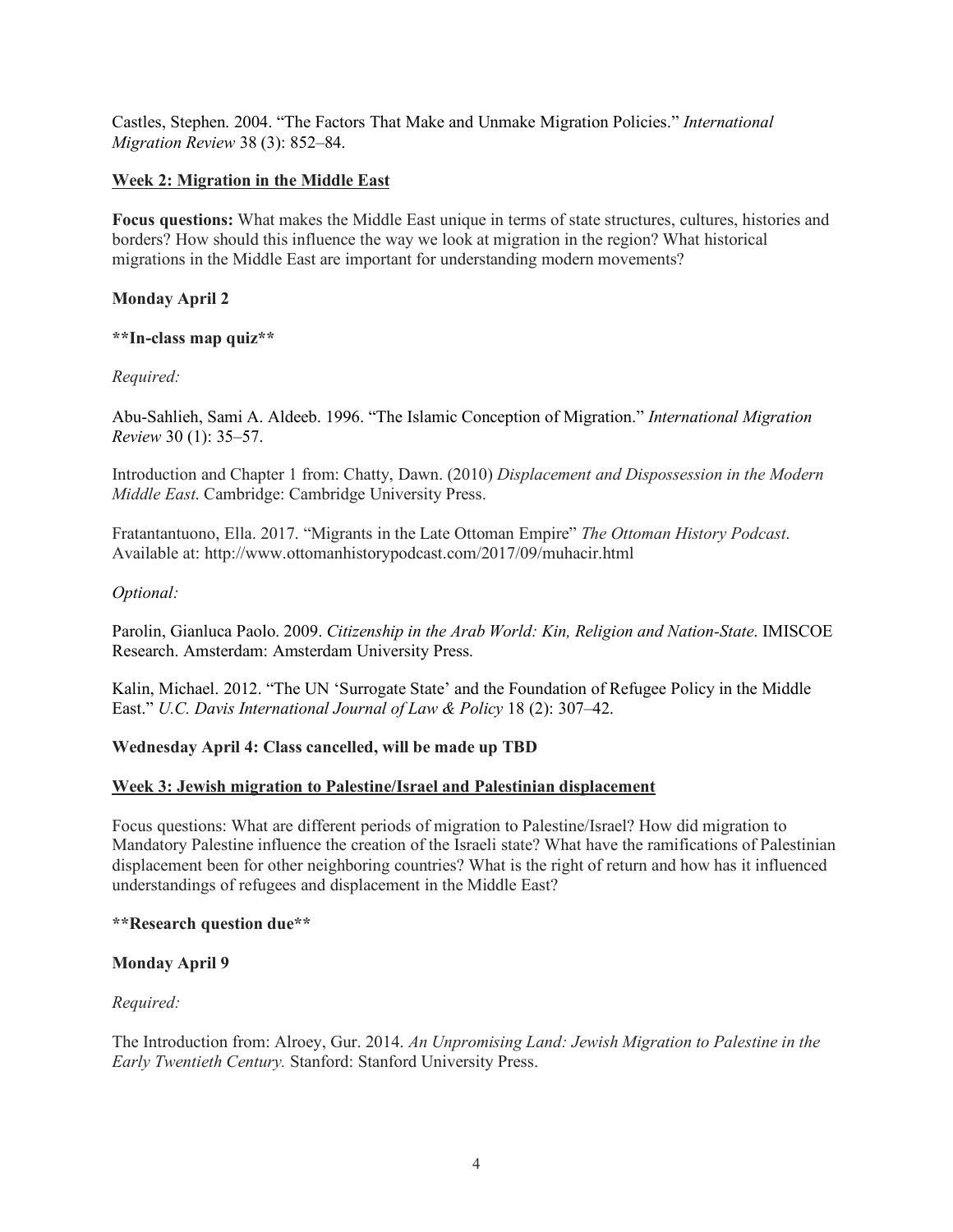Castles, Stephen. 2004. "The Factors That Make and Unmake Migration Policies." *International Migration Review* 38 (3): 852–84.

## **Week 2: Migration in the Middle East**

**Focus questions:** What makes the Middle East unique in terms of state structures, cultures, histories and borders? How should this influence the way we look at migration in the region? What historical migrations in the Middle East are important for understanding modern movements?

## **Monday April 2**

### **\*\*In-class map quiz\*\***

### *Required:*

Abu-Sahlieh, Sami A. Aldeeb. 1996. "The Islamic Conception of Migration." *International Migration Review* 30 (1): 35–57.

Introduction and Chapter 1 from: Chatty, Dawn. (2010) *Displacement and Dispossession in the Modern Middle East*. Cambridge: Cambridge University Press.

Fratantantuono, Ella. 2017. "Migrants in the Late Ottoman Empire" *The Ottoman History Podcast*. Available at: http://www.ottomanhistorypodcast.com/2017/09/muhacir.html

#### *Optional:*

Parolin, Gianluca Paolo. 2009. *Citizenship in the Arab World: Kin, Religion and Nation-State*. IMISCOE Research. Amsterdam: Amsterdam University Press.

Kalin, Michael. 2012. "The UN 'Surrogate State' and the Foundation of Refugee Policy in the Middle East." *U.C. Davis International Journal of Law & Policy* 18 (2): 307–42.

### **Wednesday April 4: Class cancelled, will be made up TBD**

### **Week 3: Jewish migration to Palestine/Israel and Palestinian displacement**

Focus questions: What are different periods of migration to Palestine/Israel? How did migration to Mandatory Palestine influence the creation of the Israeli state? What have the ramifications of Palestinian displacement been for other neighboring countries? What is the right of return and how has it influenced understandings of refugees and displacement in the Middle East?

#### **\*\*Research question due\*\***

### **Monday April 9**

### *Required:*

The Introduction from: Alroey, Gur. 2014. *An Unpromising Land: Jewish Migration to Palestine in the Early Twentieth Century.* Stanford: Stanford University Press.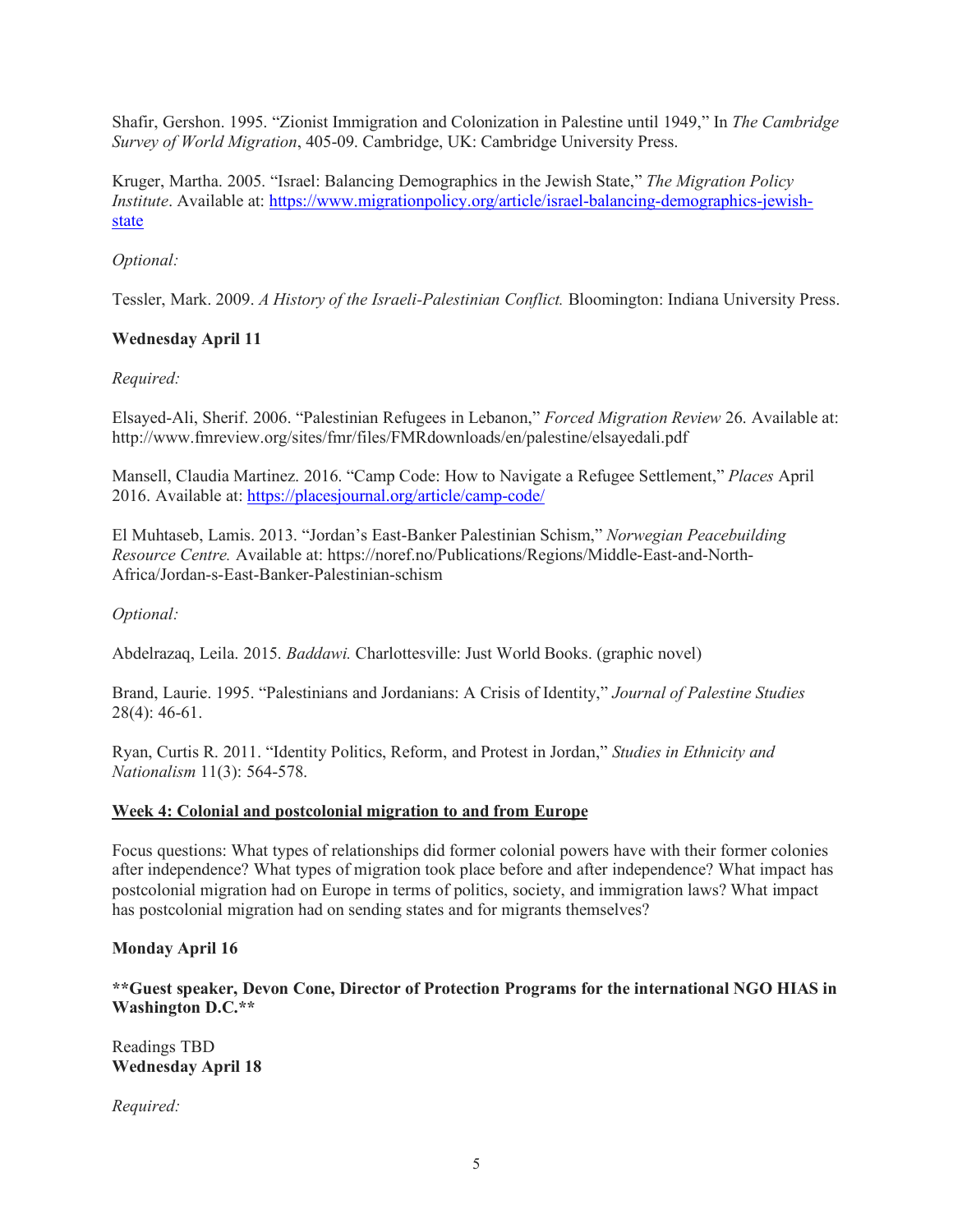Shafir, Gershon. 1995. "Zionist Immigration and Colonization in Palestine until 1949," In *The Cambridge Survey of World Migration*, 405-09. Cambridge, UK: Cambridge University Press.

Kruger, Martha. 2005. "Israel: Balancing Demographics in the Jewish State," *The Migration Policy Institute*. Available at: https://www.migrationpolicy.org/article/israel-balancing-demographics-jewishstate

# *Optional:*

Tessler, Mark. 2009. *A History of the Israeli-Palestinian Conflict.* Bloomington: Indiana University Press.

## **Wednesday April 11**

### *Required:*

Elsayed-Ali, Sherif. 2006. "Palestinian Refugees in Lebanon," *Forced Migration Review* 26. Available at: http://www.fmreview.org/sites/fmr/files/FMRdownloads/en/palestine/elsayedali.pdf

Mansell, Claudia Martinez. 2016. "Camp Code: How to Navigate a Refugee Settlement," *Places* April 2016. Available at: https://placesjournal.org/article/camp-code/

El Muhtaseb, Lamis. 2013. "Jordan's East-Banker Palestinian Schism," *Norwegian Peacebuilding Resource Centre.* Available at: https://noref.no/Publications/Regions/Middle-East-and-North-Africa/Jordan-s-East-Banker-Palestinian-schism

### *Optional:*

Abdelrazaq, Leila. 2015. *Baddawi.* Charlottesville: Just World Books. (graphic novel)

Brand, Laurie. 1995. "Palestinians and Jordanians: A Crisis of Identity," *Journal of Palestine Studies*  28(4): 46-61.

Ryan, Curtis R. 2011. "Identity Politics, Reform, and Protest in Jordan," *Studies in Ethnicity and Nationalism* 11(3): 564-578.

### **Week 4: Colonial and postcolonial migration to and from Europe**

Focus questions: What types of relationships did former colonial powers have with their former colonies after independence? What types of migration took place before and after independence? What impact has postcolonial migration had on Europe in terms of politics, society, and immigration laws? What impact has postcolonial migration had on sending states and for migrants themselves?

### **Monday April 16**

**\*\*Guest speaker, Devon Cone, Director of Protection Programs for the international NGO HIAS in Washington D.C.\*\***

Readings TBD **Wednesday April 18**

*Required:*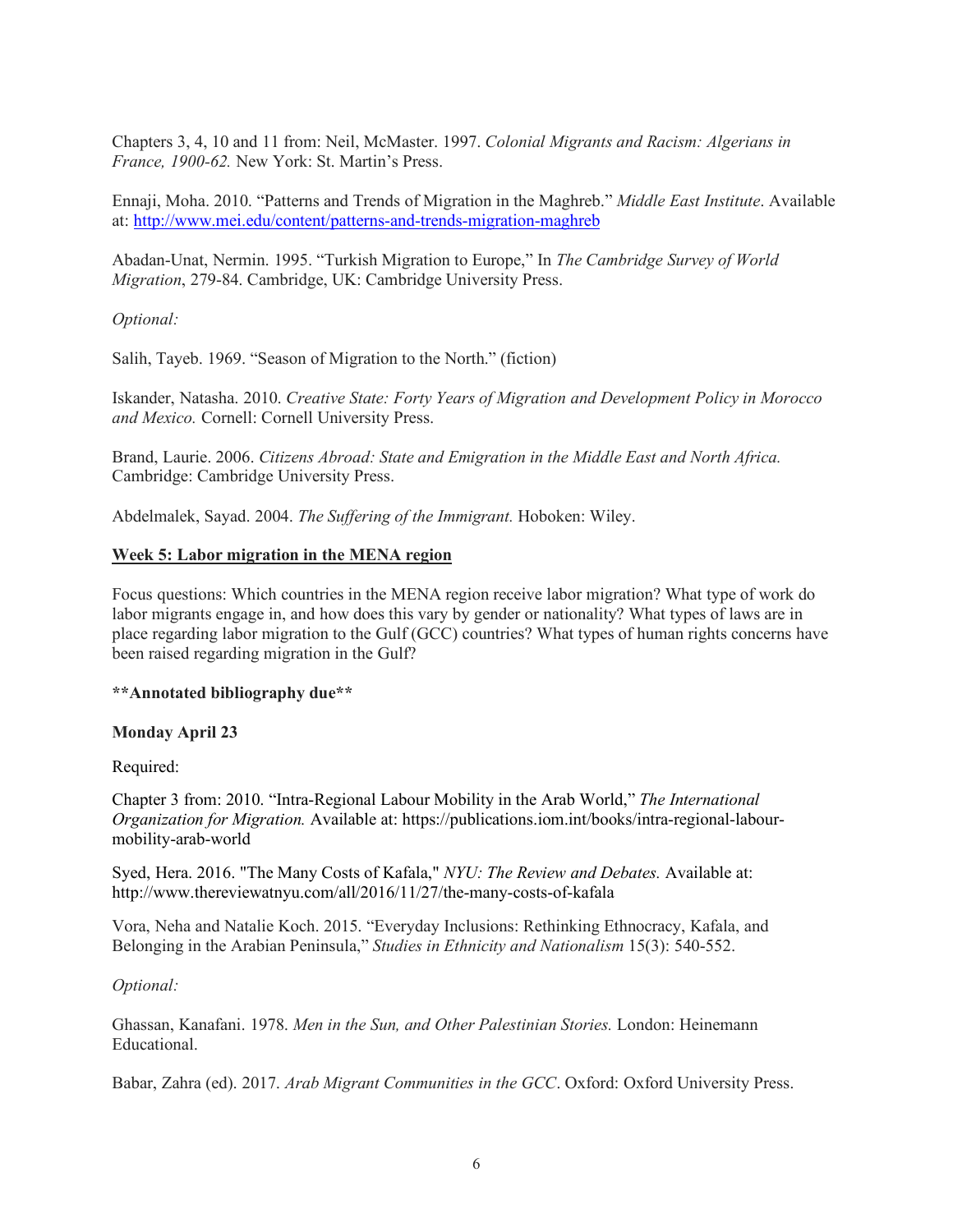Chapters 3, 4, 10 and 11 from: Neil, McMaster. 1997. *Colonial Migrants and Racism: Algerians in France, 1900-62.* New York: St. Martin's Press.

Ennaji, Moha. 2010. "Patterns and Trends of Migration in the Maghreb." *Middle East Institute*. Available at: http://www.mei.edu/content/patterns-and-trends-migration-maghreb

Abadan-Unat, Nermin. 1995. "Turkish Migration to Europe," In *The Cambridge Survey of World Migration*, 279-84. Cambridge, UK: Cambridge University Press.

*Optional:*

Salih, Tayeb. 1969. "Season of Migration to the North." (fiction)

Iskander, Natasha. 2010. *Creative State: Forty Years of Migration and Development Policy in Morocco and Mexico.* Cornell: Cornell University Press.

Brand, Laurie. 2006. *Citizens Abroad: State and Emigration in the Middle East and North Africa.* Cambridge: Cambridge University Press.

Abdelmalek, Sayad. 2004. *The Suffering of the Immigrant.* Hoboken: Wiley.

#### **Week 5: Labor migration in the MENA region**

Focus questions: Which countries in the MENA region receive labor migration? What type of work do labor migrants engage in, and how does this vary by gender or nationality? What types of laws are in place regarding labor migration to the Gulf (GCC) countries? What types of human rights concerns have been raised regarding migration in the Gulf?

**\*\*Annotated bibliography due\*\***

# **Monday April 23**

Required:

Chapter 3 from: 2010. "Intra-Regional Labour Mobility in the Arab World," *The International Organization for Migration.* Available at: https://publications.iom.int/books/intra-regional-labourmobility-arab-world

Syed, Hera. 2016. "The Many Costs of Kafala," *NYU: The Review and Debates.* Available at: http://www.thereviewatnyu.com/all/2016/11/27/the-many-costs-of-kafala

Vora, Neha and Natalie Koch. 2015. "Everyday Inclusions: Rethinking Ethnocracy, Kafala, and Belonging in the Arabian Peninsula," *Studies in Ethnicity and Nationalism* 15(3): 540-552.

*Optional:*

Ghassan, Kanafani. 1978. *Men in the Sun, and Other Palestinian Stories.* London: Heinemann Educational.

Babar, Zahra (ed). 2017. *Arab Migrant Communities in the GCC*. Oxford: Oxford University Press.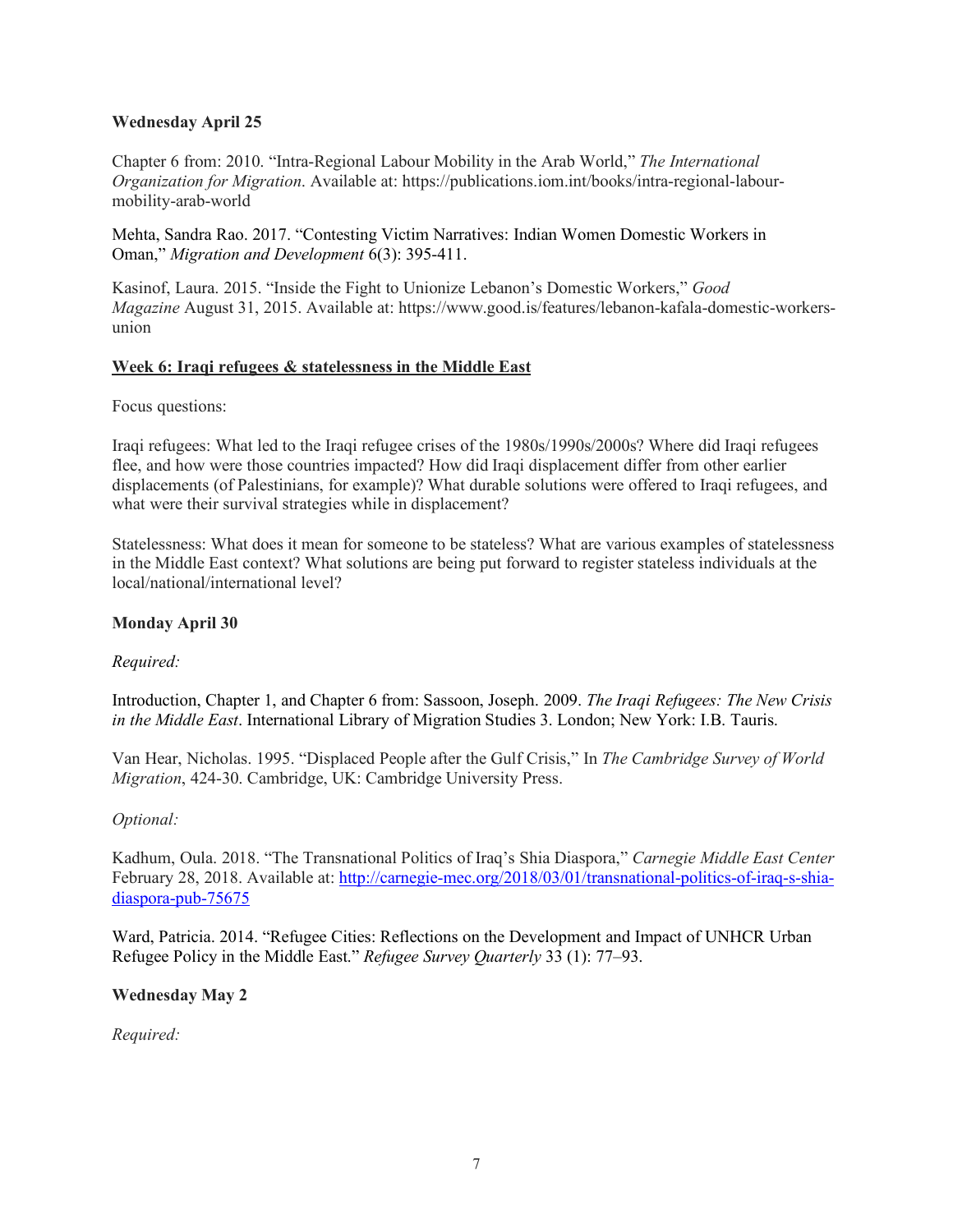## **Wednesday April 25**

Chapter 6 from: 2010. "Intra-Regional Labour Mobility in the Arab World," *The International Organization for Migration*. Available at: https://publications.iom.int/books/intra-regional-labourmobility-arab-world

Mehta, Sandra Rao. 2017. "Contesting Victim Narratives: Indian Women Domestic Workers in Oman," *Migration and Development* 6(3): 395-411.

Kasinof, Laura. 2015. "Inside the Fight to Unionize Lebanon's Domestic Workers," *Good Magazine* August 31, 2015. Available at: https://www.good.is/features/lebanon-kafala-domestic-workersunion

### **Week 6: Iraqi refugees & statelessness in the Middle East**

Focus questions:

Iraqi refugees: What led to the Iraqi refugee crises of the 1980s/1990s/2000s? Where did Iraqi refugees flee, and how were those countries impacted? How did Iraqi displacement differ from other earlier displacements (of Palestinians, for example)? What durable solutions were offered to Iraqi refugees, and what were their survival strategies while in displacement?

Statelessness: What does it mean for someone to be stateless? What are various examples of statelessness in the Middle East context? What solutions are being put forward to register stateless individuals at the local/national/international level?

### **Monday April 30**

### *Required:*

Introduction, Chapter 1, and Chapter 6 from: Sassoon, Joseph. 2009. *The Iraqi Refugees: The New Crisis in the Middle East*. International Library of Migration Studies 3. London; New York: I.B. Tauris.

Van Hear, Nicholas. 1995. "Displaced People after the Gulf Crisis," In *The Cambridge Survey of World Migration*, 424-30. Cambridge, UK: Cambridge University Press.

### *Optional:*

Kadhum, Oula. 2018. "The Transnational Politics of Iraq's Shia Diaspora," *Carnegie Middle East Center*  February 28, 2018. Available at: http://carnegie-mec.org/2018/03/01/transnational-politics-of-iraq-s-shiadiaspora-pub-75675

Ward, Patricia. 2014. "Refugee Cities: Reflections on the Development and Impact of UNHCR Urban Refugee Policy in the Middle East." *Refugee Survey Quarterly* 33 (1): 77–93.

### **Wednesday May 2**

*Required:*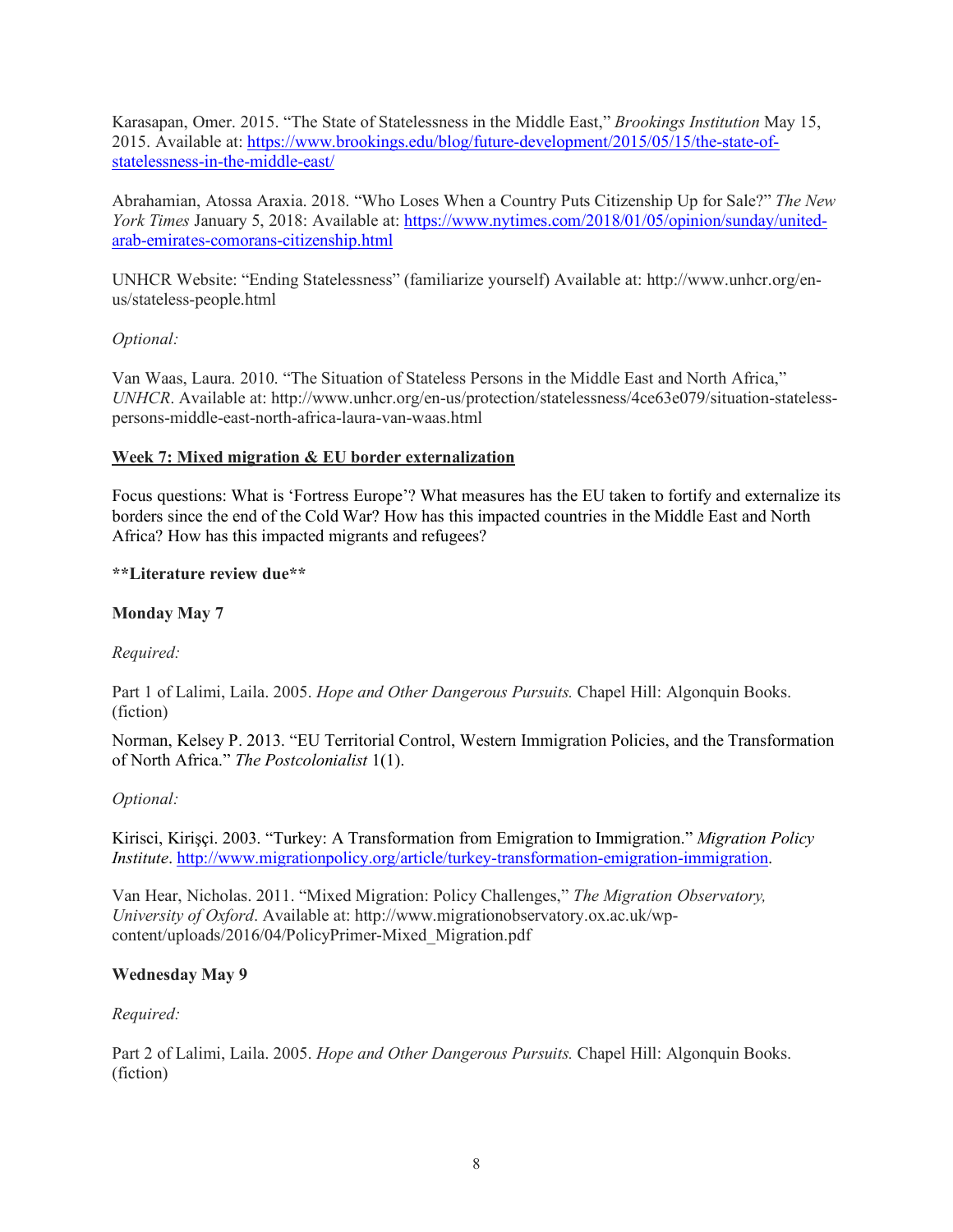Karasapan, Omer. 2015. "The State of Statelessness in the Middle East," *Brookings Institution* May 15, 2015. Available at: https://www.brookings.edu/blog/future-development/2015/05/15/the-state-ofstatelessness-in-the-middle-east/

Abrahamian, Atossa Araxia. 2018. "Who Loses When a Country Puts Citizenship Up for Sale?" *The New York Times* January 5, 2018: Available at: https://www.nytimes.com/2018/01/05/opinion/sunday/unitedarab-emirates-comorans-citizenship.html

UNHCR Website: "Ending Statelessness" (familiarize yourself) Available at: http://www.unhcr.org/enus/stateless-people.html

## *Optional:*

Van Waas, Laura. 2010. "The Situation of Stateless Persons in the Middle East and North Africa," *UNHCR*. Available at: http://www.unhcr.org/en-us/protection/statelessness/4ce63e079/situation-statelesspersons-middle-east-north-africa-laura-van-waas.html

## **Week 7: Mixed migration & EU border externalization**

Focus questions: What is 'Fortress Europe'? What measures has the EU taken to fortify and externalize its borders since the end of the Cold War? How has this impacted countries in the Middle East and North Africa? How has this impacted migrants and refugees?

## **\*\*Literature review due\*\***

## **Monday May 7**

*Required:*

Part 1 of Lalimi, Laila. 2005. *Hope and Other Dangerous Pursuits.* Chapel Hill: Algonquin Books. (fiction)

Norman, Kelsey P. 2013. "EU Territorial Control, Western Immigration Policies, and the Transformation of North Africa." *The Postcolonialist* 1(1).

### *Optional:*

Kirisci, Kirişçi. 2003. "Turkey: A Transformation from Emigration to Immigration." *Migration Policy Institute*. http://www.migrationpolicy.org/article/turkey-transformation-emigration-immigration.

Van Hear, Nicholas. 2011. "Mixed Migration: Policy Challenges," *The Migration Observatory, University of Oxford*. Available at: http://www.migrationobservatory.ox.ac.uk/wpcontent/uploads/2016/04/PolicyPrimer-Mixed\_Migration.pdf

### **Wednesday May 9**

### *Required:*

Part 2 of Lalimi, Laila. 2005. *Hope and Other Dangerous Pursuits.* Chapel Hill: Algonquin Books. (fiction)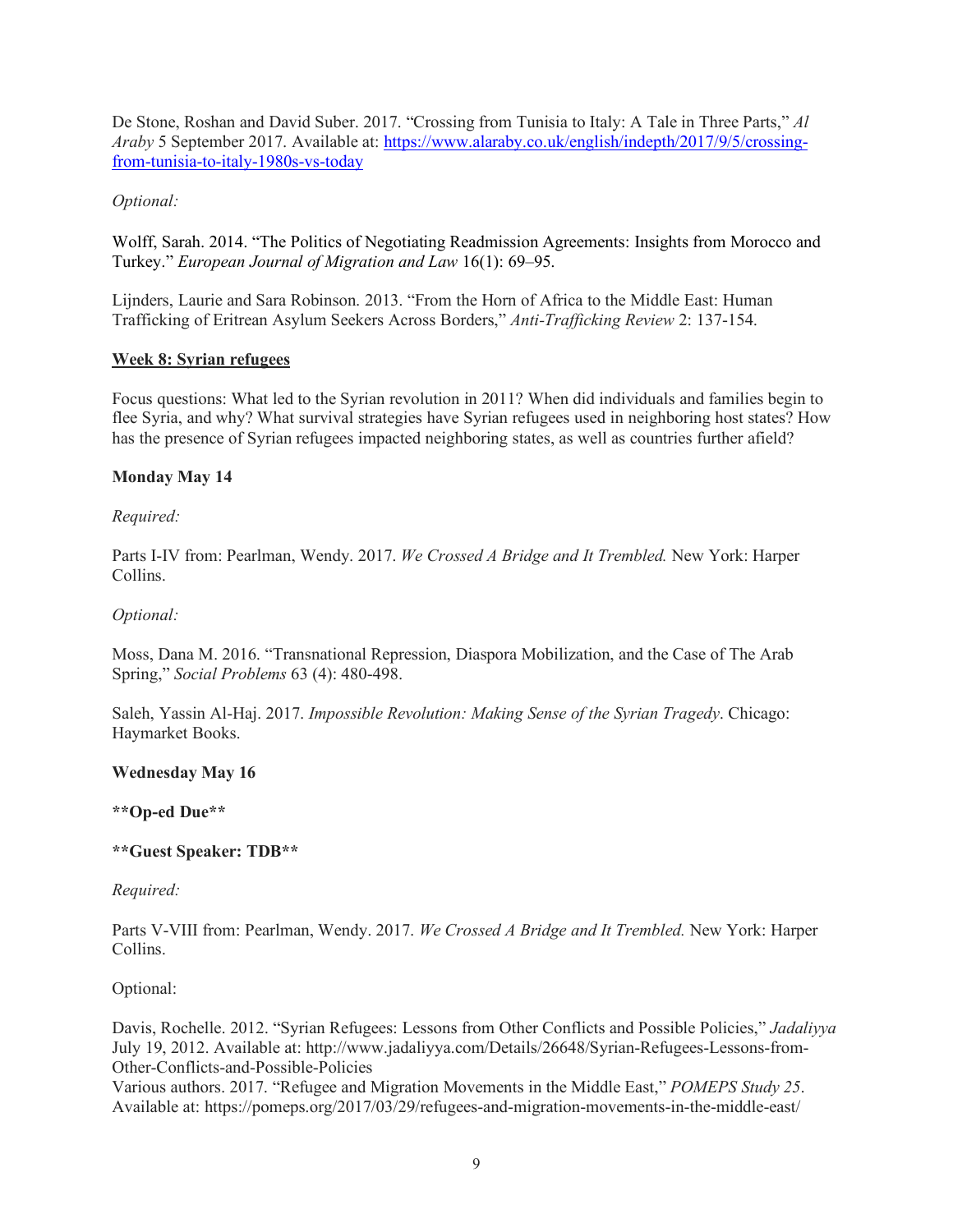De Stone, Roshan and David Suber. 2017. "Crossing from Tunisia to Italy: A Tale in Three Parts," *Al Araby* 5 September 2017. Available at: https://www.alaraby.co.uk/english/indepth/2017/9/5/crossingfrom-tunisia-to-italy-1980s-vs-today

# *Optional:*

Wolff, Sarah. 2014. "The Politics of Negotiating Readmission Agreements: Insights from Morocco and Turkey." *European Journal of Migration and Law* 16(1): 69–95.

Lijnders, Laurie and Sara Robinson. 2013. "From the Horn of Africa to the Middle East: Human Trafficking of Eritrean Asylum Seekers Across Borders," *Anti-Trafficking Review* 2: 137-154.

## **Week 8: Syrian refugees**

Focus questions: What led to the Syrian revolution in 2011? When did individuals and families begin to flee Syria, and why? What survival strategies have Syrian refugees used in neighboring host states? How has the presence of Syrian refugees impacted neighboring states, as well as countries further afield?

## **Monday May 14**

## *Required:*

Parts I-IV from: Pearlman, Wendy. 2017. *We Crossed A Bridge and It Trembled.* New York: Harper Collins.

### *Optional:*

Moss, Dana M. 2016. "Transnational Repression, Diaspora Mobilization, and the Case of The Arab Spring," *Social Problems* 63 (4): 480-498.

Saleh, Yassin Al-Haj. 2017. *Impossible Revolution: Making Sense of the Syrian Tragedy*. Chicago: Haymarket Books.

### **Wednesday May 16**

### **\*\*Op-ed Due\*\***

# **\*\*Guest Speaker: TDB\*\***

### *Required:*

Parts V-VIII from: Pearlman, Wendy. 2017. *We Crossed A Bridge and It Trembled.* New York: Harper Collins.

### Optional:

Davis, Rochelle. 2012. "Syrian Refugees: Lessons from Other Conflicts and Possible Policies," *Jadaliyya*  July 19, 2012. Available at: http://www.jadaliyya.com/Details/26648/Syrian-Refugees-Lessons-from-Other-Conflicts-and-Possible-Policies

Various authors. 2017. "Refugee and Migration Movements in the Middle East," *POMEPS Study 25*. Available at: https://pomeps.org/2017/03/29/refugees-and-migration-movements-in-the-middle-east/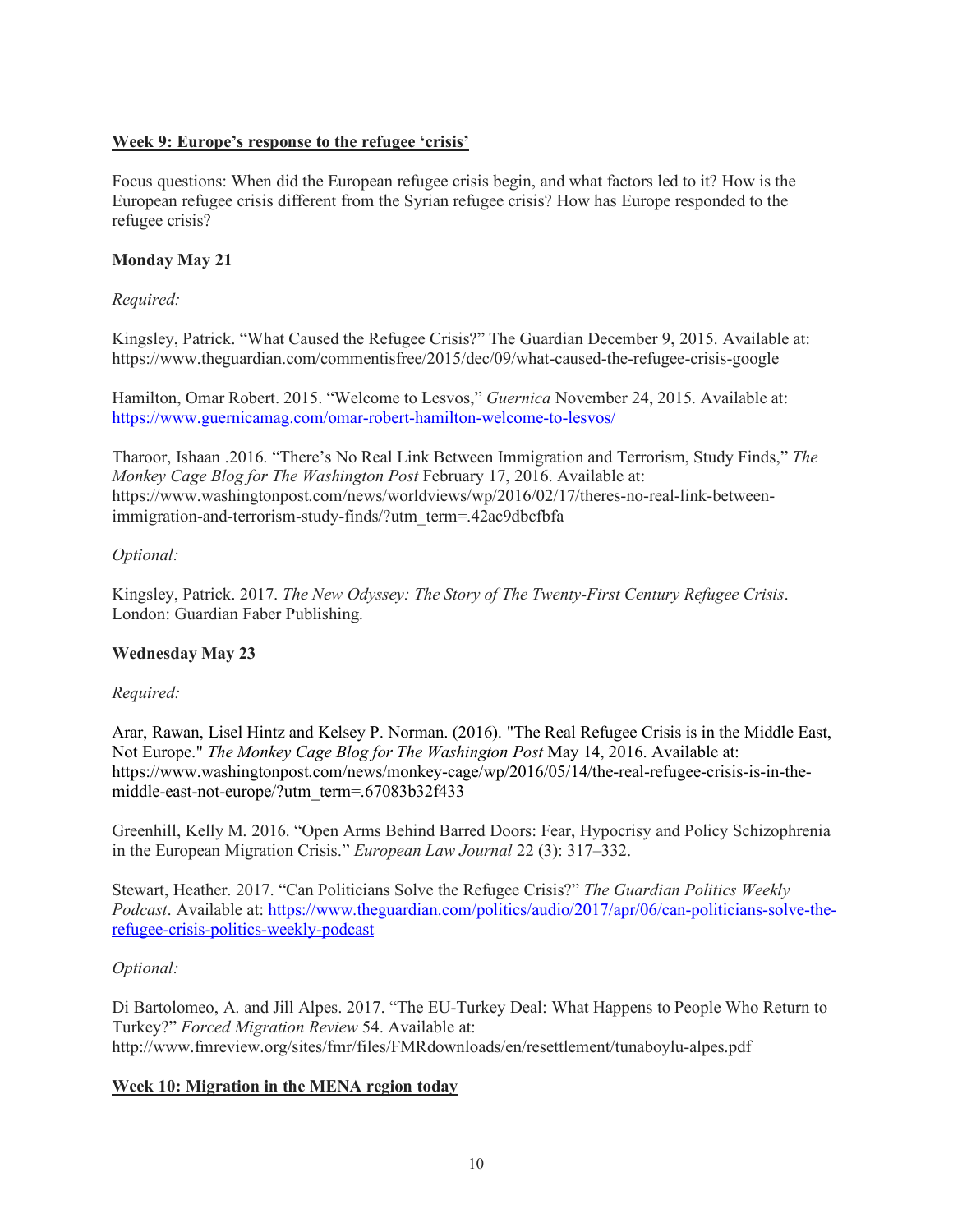# **Week 9: Europe's response to the refugee 'crisis'**

Focus questions: When did the European refugee crisis begin, and what factors led to it? How is the European refugee crisis different from the Syrian refugee crisis? How has Europe responded to the refugee crisis?

# **Monday May 21**

## *Required:*

Kingsley, Patrick. "What Caused the Refugee Crisis?" The Guardian December 9, 2015. Available at: https://www.theguardian.com/commentisfree/2015/dec/09/what-caused-the-refugee-crisis-google

Hamilton, Omar Robert. 2015. "Welcome to Lesvos," *Guernica* November 24, 2015. Available at: https://www.guernicamag.com/omar-robert-hamilton-welcome-to-lesvos/

Tharoor, Ishaan .2016. "There's No Real Link Between Immigration and Terrorism, Study Finds," *The Monkey Cage Blog for The Washington Post* February 17, 2016. Available at: https://www.washingtonpost.com/news/worldviews/wp/2016/02/17/theres-no-real-link-betweenimmigration-and-terrorism-study-finds/?utm\_term=.42ac9dbcfbfa

## *Optional:*

Kingsley, Patrick. 2017. *The New Odyssey: The Story of The Twenty-First Century Refugee Crisis*. London: Guardian Faber Publishing.

### **Wednesday May 23**

### *Required:*

Arar, Rawan, Lisel Hintz and Kelsey P. Norman. (2016). "The Real Refugee Crisis is in the Middle East, Not Europe." *The Monkey Cage Blog for The Washington Post* May 14, 2016. Available at: https://www.washingtonpost.com/news/monkey-cage/wp/2016/05/14/the-real-refugee-crisis-is-in-themiddle-east-not-europe/?utm\_term=.67083b32f433

Greenhill, Kelly M. 2016. "Open Arms Behind Barred Doors: Fear, Hypocrisy and Policy Schizophrenia in the European Migration Crisis." *European Law Journal* 22 (3): 317–332.

Stewart, Heather. 2017. "Can Politicians Solve the Refugee Crisis?" *The Guardian Politics Weekly Podcast*. Available at: https://www.theguardian.com/politics/audio/2017/apr/06/can-politicians-solve-therefugee-crisis-politics-weekly-podcast

### *Optional:*

Di Bartolomeo, A. and Jill Alpes. 2017. "The EU-Turkey Deal: What Happens to People Who Return to Turkey?" *Forced Migration Review* 54. Available at: http://www.fmreview.org/sites/fmr/files/FMRdownloads/en/resettlement/tunaboylu-alpes.pdf

# **Week 10: Migration in the MENA region today**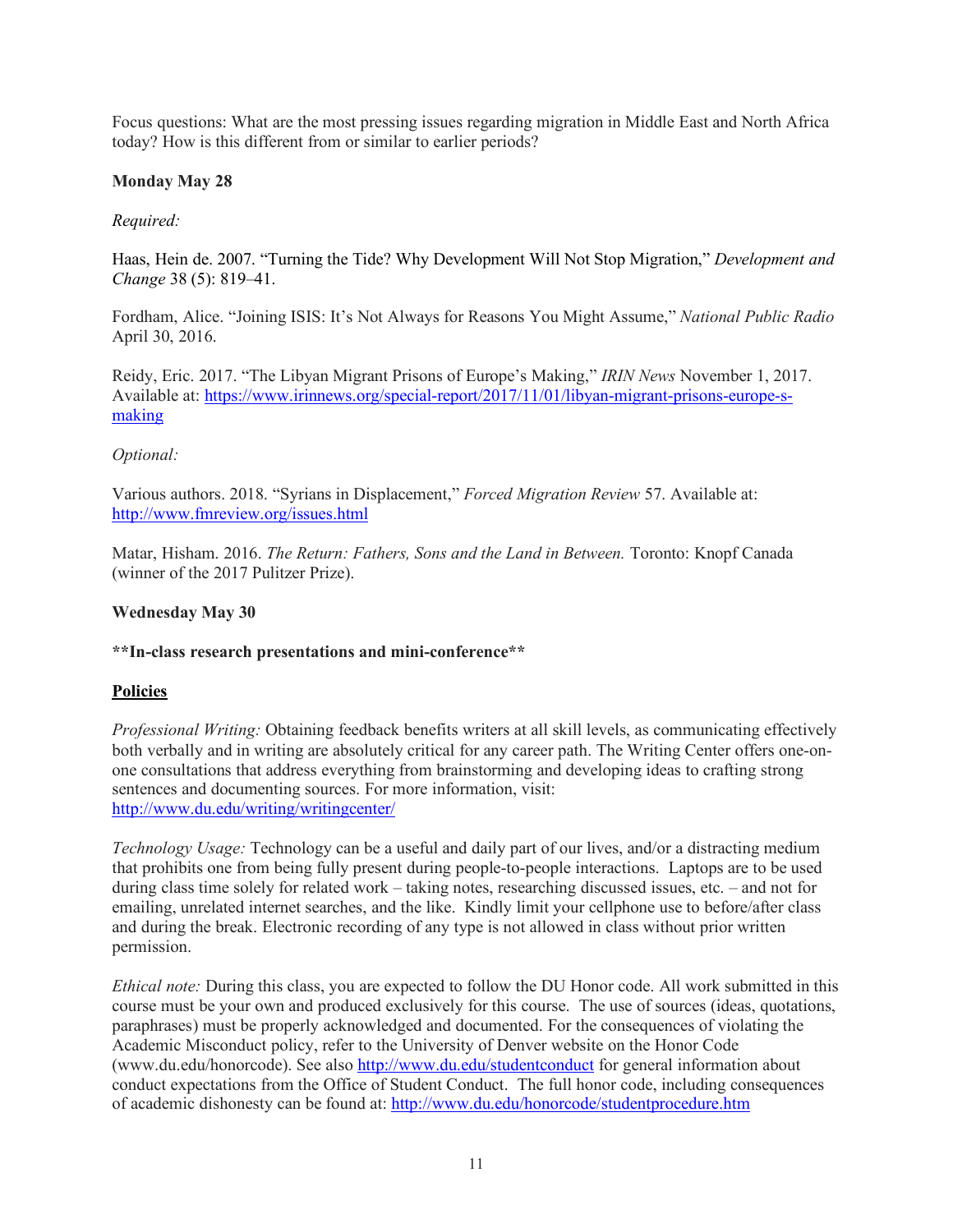Focus questions: What are the most pressing issues regarding migration in Middle East and North Africa today? How is this different from or similar to earlier periods?

## **Monday May 28**

## *Required:*

Haas, Hein de. 2007. "Turning the Tide? Why Development Will Not Stop Migration," *Development and Change* 38 (5): 819–41.

Fordham, Alice. "Joining ISIS: It's Not Always for Reasons You Might Assume," *National Public Radio* April 30, 2016.

Reidy, Eric. 2017. "The Libyan Migrant Prisons of Europe's Making," *IRIN News* November 1, 2017. Available at: https://www.irinnews.org/special-report/2017/11/01/libyan-migrant-prisons-europe-smaking

## *Optional:*

Various authors. 2018. "Syrians in Displacement," *Forced Migration Review* 57. Available at: http://www.fmreview.org/issues.html

Matar, Hisham. 2016. *The Return: Fathers, Sons and the Land in Between.* Toronto: Knopf Canada (winner of the 2017 Pulitzer Prize).

### **Wednesday May 30**

### **\*\*In-class research presentations and mini-conference\*\***

### **Policies**

*Professional Writing:* Obtaining feedback benefits writers at all skill levels, as communicating effectively both verbally and in writing are absolutely critical for any career path. The Writing Center offers one-onone consultations that address everything from brainstorming and developing ideas to crafting strong sentences and documenting sources. For more information, visit: http://www.du.edu/writing/writingcenter/

*Technology Usage:* Technology can be a useful and daily part of our lives, and/or a distracting medium that prohibits one from being fully present during people-to-people interactions. Laptops are to be used during class time solely for related work – taking notes, researching discussed issues, etc. – and not for emailing, unrelated internet searches, and the like. Kindly limit your cellphone use to before/after class and during the break. Electronic recording of any type is not allowed in class without prior written permission.

*Ethical note:* During this class, you are expected to follow the DU Honor code. All work submitted in this course must be your own and produced exclusively for this course. The use of sources (ideas, quotations, paraphrases) must be properly acknowledged and documented. For the consequences of violating the Academic Misconduct policy, refer to the University of Denver website on the Honor Code (www.du.edu/honorcode). See also http://www.du.edu/studentconduct for general information about conduct expectations from the Office of Student Conduct. The full honor code, including consequences of academic dishonesty can be found at: http://www.du.edu/honorcode/studentprocedure.htm